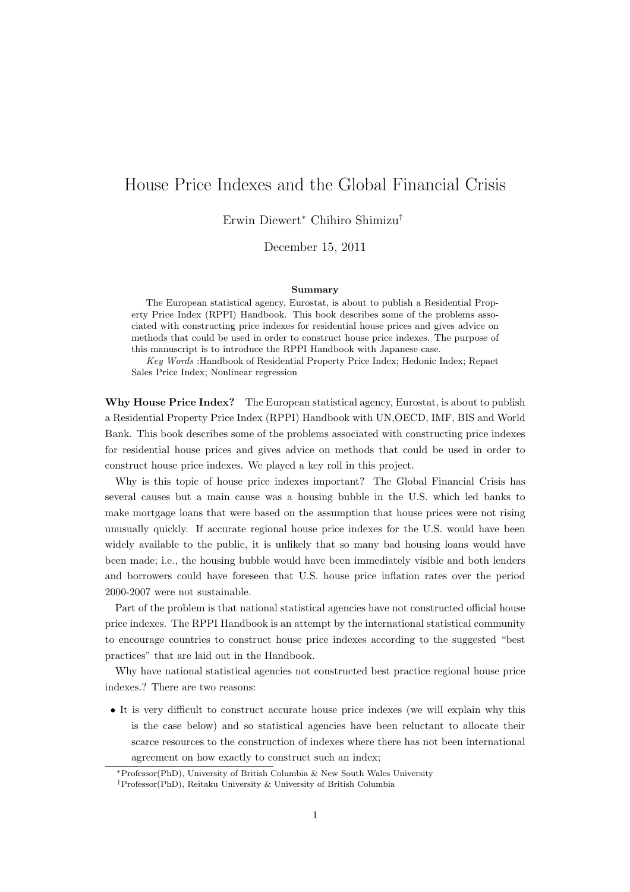## House Price Indexes and the Global Financial Crisis

Erwin Diewert*<sup>∗</sup>* Chihiro Shimizu*†*

December 15, 2011

## **Summary**

The European statistical agency, Eurostat, is about to publish a Residential Property Price Index (RPPI) Handbook. This book describes some of the problems associated with constructing price indexes for residential house prices and gives advice on methods that could be used in order to construct house price indexes. The purpose of this manuscript is to introduce the RPPI Handbook with Japanese case.

*Key Words* :Handbook of Residential Property Price Index; Hedonic Index; Repaet Sales Price Index; Nonlinear regression

**Why House Price Index?** The European statistical agency, Eurostat, is about to publish a Residential Property Price Index (RPPI) Handbook with UN,OECD, IMF, BIS and World Bank. This book describes some of the problems associated with constructing price indexes for residential house prices and gives advice on methods that could be used in order to construct house price indexes. We played a key roll in this project.

Why is this topic of house price indexes important? The Global Financial Crisis has several causes but a main cause was a housing bubble in the U.S. which led banks to make mortgage loans that were based on the assumption that house prices were not rising unusually quickly. If accurate regional house price indexes for the U.S. would have been widely available to the public, it is unlikely that so many bad housing loans would have been made; i.e., the housing bubble would have been immediately visible and both lenders and borrowers could have foreseen that U.S. house price inflation rates over the period 2000-2007 were not sustainable.

Part of the problem is that national statistical agencies have not constructed official house price indexes. The RPPI Handbook is an attempt by the international statistical community to encourage countries to construct house price indexes according to the suggested "best practices" that are laid out in the Handbook.

Why have national statistical agencies not constructed best practice regional house price indexes.? There are two reasons:

• It is very difficult to construct accurate house price indexes (we will explain why this is the case below) and so statistical agencies have been reluctant to allocate their scarce resources to the construction of indexes where there has not been international agreement on how exactly to construct such an index;

*<sup>∗</sup>*Professor(PhD), University of British Columbia & New South Wales University

*<sup>†</sup>*Professor(PhD), Reitaku University & University of British Columbia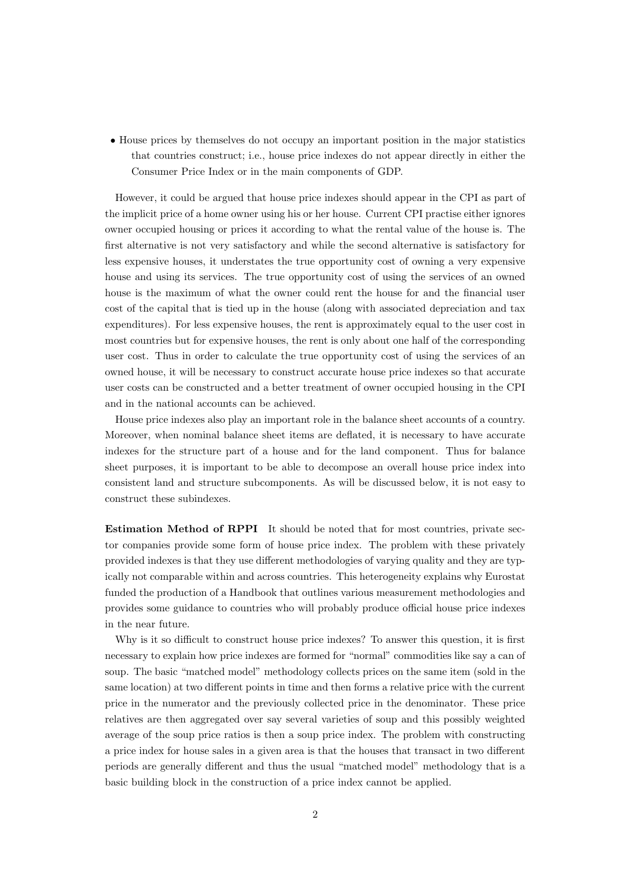• House prices by themselves do not occupy an important position in the major statistics that countries construct; i.e., house price indexes do not appear directly in either the Consumer Price Index or in the main components of GDP.

However, it could be argued that house price indexes should appear in the CPI as part of the implicit price of a home owner using his or her house. Current CPI practise either ignores owner occupied housing or prices it according to what the rental value of the house is. The first alternative is not very satisfactory and while the second alternative is satisfactory for less expensive houses, it understates the true opportunity cost of owning a very expensive house and using its services. The true opportunity cost of using the services of an owned house is the maximum of what the owner could rent the house for and the financial user cost of the capital that is tied up in the house (along with associated depreciation and tax expenditures). For less expensive houses, the rent is approximately equal to the user cost in most countries but for expensive houses, the rent is only about one half of the corresponding user cost. Thus in order to calculate the true opportunity cost of using the services of an owned house, it will be necessary to construct accurate house price indexes so that accurate user costs can be constructed and a better treatment of owner occupied housing in the CPI and in the national accounts can be achieved.

House price indexes also play an important role in the balance sheet accounts of a country. Moreover, when nominal balance sheet items are deflated, it is necessary to have accurate indexes for the structure part of a house and for the land component. Thus for balance sheet purposes, it is important to be able to decompose an overall house price index into consistent land and structure subcomponents. As will be discussed below, it is not easy to construct these subindexes.

**Estimation Method of RPPI** It should be noted that for most countries, private sector companies provide some form of house price index. The problem with these privately provided indexes is that they use different methodologies of varying quality and they are typically not comparable within and across countries. This heterogeneity explains why Eurostat funded the production of a Handbook that outlines various measurement methodologies and provides some guidance to countries who will probably produce official house price indexes in the near future.

Why is it so difficult to construct house price indexes? To answer this question, it is first necessary to explain how price indexes are formed for "normal" commodities like say a can of soup. The basic "matched model" methodology collects prices on the same item (sold in the same location) at two different points in time and then forms a relative price with the current price in the numerator and the previously collected price in the denominator. These price relatives are then aggregated over say several varieties of soup and this possibly weighted average of the soup price ratios is then a soup price index. The problem with constructing a price index for house sales in a given area is that the houses that transact in two different periods are generally different and thus the usual "matched model" methodology that is a basic building block in the construction of a price index cannot be applied.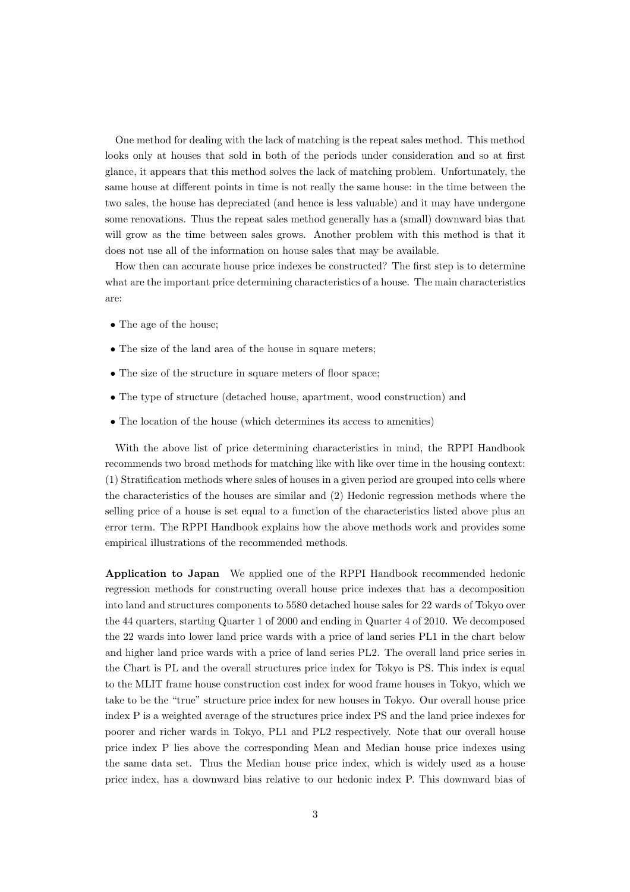One method for dealing with the lack of matching is the repeat sales method. This method looks only at houses that sold in both of the periods under consideration and so at first glance, it appears that this method solves the lack of matching problem. Unfortunately, the same house at different points in time is not really the same house: in the time between the two sales, the house has depreciated (and hence is less valuable) and it may have undergone some renovations. Thus the repeat sales method generally has a (small) downward bias that will grow as the time between sales grows. Another problem with this method is that it does not use all of the information on house sales that may be available.

How then can accurate house price indexes be constructed? The first step is to determine what are the important price determining characteristics of a house. The main characteristics are:

- *•* The age of the house;
- The size of the land area of the house in square meters:
- The size of the structure in square meters of floor space;
- *•* The type of structure (detached house, apartment, wood construction) and
- The location of the house (which determines its access to amenities)

With the above list of price determining characteristics in mind, the RPPI Handbook recommends two broad methods for matching like with like over time in the housing context: (1) Stratification methods where sales of houses in a given period are grouped into cells where the characteristics of the houses are similar and (2) Hedonic regression methods where the selling price of a house is set equal to a function of the characteristics listed above plus an error term. The RPPI Handbook explains how the above methods work and provides some empirical illustrations of the recommended methods.

**Application to Japan** We applied one of the RPPI Handbook recommended hedonic regression methods for constructing overall house price indexes that has a decomposition into land and structures components to 5580 detached house sales for 22 wards of Tokyo over the 44 quarters, starting Quarter 1 of 2000 and ending in Quarter 4 of 2010. We decomposed the 22 wards into lower land price wards with a price of land series PL1 in the chart below and higher land price wards with a price of land series PL2. The overall land price series in the Chart is PL and the overall structures price index for Tokyo is PS. This index is equal to the MLIT frame house construction cost index for wood frame houses in Tokyo, which we take to be the "true" structure price index for new houses in Tokyo. Our overall house price index P is a weighted average of the structures price index PS and the land price indexes for poorer and richer wards in Tokyo, PL1 and PL2 respectively. Note that our overall house price index P lies above the corresponding Mean and Median house price indexes using the same data set. Thus the Median house price index, which is widely used as a house price index, has a downward bias relative to our hedonic index P. This downward bias of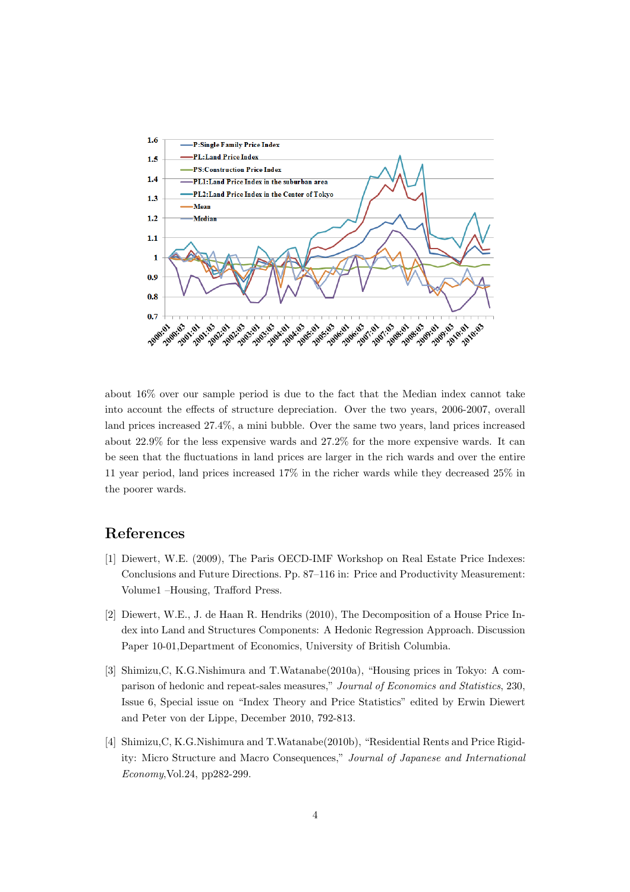

about 16% over our sample period is due to the fact that the Median index cannot take into account the effects of structure depreciation. Over the two years, 2006-2007, overall land prices increased 27.4%, a mini bubble. Over the same two years, land prices increased about 22.9% for the less expensive wards and 27.2% for the more expensive wards. It can be seen that the fluctuations in land prices are larger in the rich wards and over the entire 11 year period, land prices increased 17% in the richer wards while they decreased 25% in the poorer wards.

## **References**

- [1] Diewert, W.E. (2009), The Paris OECD-IMF Workshop on Real Estate Price Indexes: Conclusions and Future Directions. Pp. 87–116 in: Price and Productivity Measurement: Volume1 –Housing, Trafford Press.
- [2] Diewert, W.E., J. de Haan R. Hendriks (2010), The Decomposition of a House Price Index into Land and Structures Components: A Hedonic Regression Approach. Discussion Paper 10-01,Department of Economics, University of British Columbia.
- [3] Shimizu,C, K.G.Nishimura and T.Watanabe(2010a), "Housing prices in Tokyo: A comparison of hedonic and repeat-sales measures," *Journal of Economics and Statistics*, 230, Issue 6, Special issue on "Index Theory and Price Statistics" edited by Erwin Diewert and Peter von der Lippe, December 2010, 792-813.
- [4] Shimizu,C, K.G.Nishimura and T.Watanabe(2010b), "Residential Rents and Price Rigidity: Micro Structure and Macro Consequences," *Journal of Japanese and International Economy*,Vol.24, pp282-299.